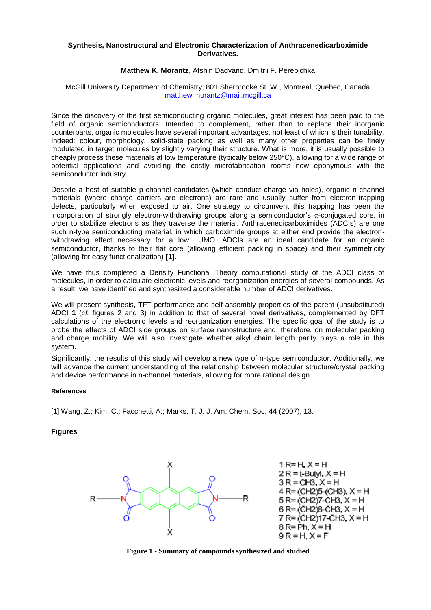## **Synthesis, Nanostructural and Electronic Characterization of Anthracenedicarboximide Derivatives.**

## **Matthew K. Morantz**, Afshin Dadvand, Dmitrii F. Perepichka

## McGill University Department of Chemistry, 801 Sherbrooke St. W., Montreal, Quebec, Canada [matthew.morantz@mail.mcgill.ca](mailto:matthew.morantz@mail.mcgill.ca)

Since the discovery of the first semiconducting organic molecules, great interest has been paid to the field of organic semiconductors. Intended to complement, rather than to replace their inorganic counterparts, organic molecules have several important advantages, not least of which is their tunability. Indeed: colour, morphology, solid-state packing as well as many other properties can be finely modulated in target molecules by slightly varying their structure. What is more, it is usually possible to cheaply process these materials at low temperature (typically below 250°C), allowing for a wide range of potential applications and avoiding the costly microfabrication rooms now eponymous with the semiconductor industry.

Despite a host of suitable p-channel candidates (which conduct charge via holes), organic n-channel materials (where charge carriers are electrons) are rare and usually suffer from electron-trapping defects, particularly when exposed to air. One strategy to circumvent this trapping has been the incorporation of strongly electron-withdrawing groups along a semiconductor's  $\pi$ -conjugated core, in order to stabilize electrons as they traverse the material. Anthracenedicarboximides (ADCIs) are one such n-type semiconducting material, in which carboximide groups at either end provide the electronwithdrawing effect necessary for a low LUMO. ADCIs are an ideal candidate for an organic semiconductor, thanks to their flat core (allowing efficient packing in space) and their symmetricity (allowing for easy functionalization) **[1]**.

We have thus completed a Density Functional Theory computational study of the ADCI class of molecules, in order to calculate electronic levels and reorganization energies of several compounds. As a result, we have identified and synthesized a considerable number of ADCI derivatives.

We will present synthesis, TFT performance and self-assembly properties of the parent (unsubstituted) ADCI **1** (*cf.* figures 2 and 3) in addition to that of several novel derivatives, complemented by DFT calculations of the electronic levels and reorganization energies. The specific goal of the study is to probe the effects of ADCI side groups on surface nanostructure and, therefore, on molecular packing and charge mobility. We will also investigate whether alkyl chain length parity plays a role in this system.

Significantly, the results of this study will develop a new type of n-type semiconductor. Additionally, we will advance the current understanding of the relationship between molecular structure/crystal packing and device performance in n-channel materials, allowing for more rational design.

## **References**

[1] Wang, Z.; Kim, C.; Facchetti, A.; Marks, T. J. J. Am. Chem. Soc, **44** (2007), 13.

**Figures**



**Figure 1 - Summary of compounds synthesized and studied**